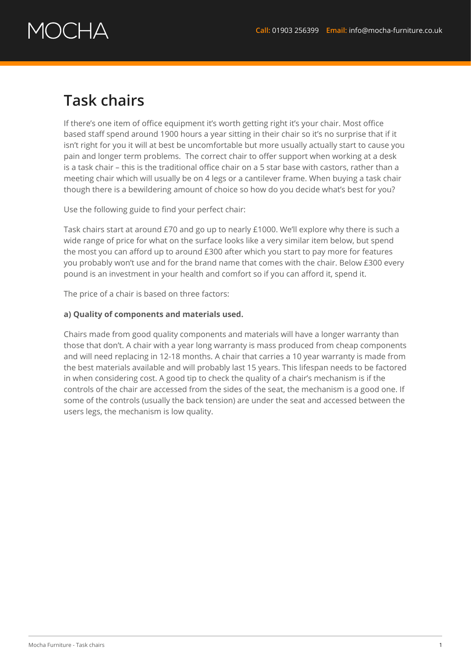# DC HA

### **Task chairs**

If there's one item of office equipment it's worth getting right it's your chair. Most office based staff spend around 1900 hours a year sitting in their chair so it's no surprise that if it isn't right for you it will at best be uncomfortable but more usually actually start to cause you pain and longer term problems. The correct chair to offer support when working at a desk is a task chair – this is the traditional office chair on a 5 star base with castors, rather than a meeting chair which will usually be on 4 legs or a cantilever frame. When buying a task chair though there is a bewildering amount of choice so how do you decide what's best for you?

Use the following guide to find your perfect chair:

Task chairs start at around £70 and go up to nearly £1000. We'll explore why there is such a wide range of price for what on the surface looks like a very similar item below, but spend the most you can afford up to around £300 after which you start to pay more for features you probably won't use and for the brand name that comes with the chair. Below £300 every pound is an investment in your health and comfort so if you can afford it, spend it.

The price of a chair is based on three factors:

### **a) Quality of components and materials used.**

Chairs made from good quality components and materials will have a longer warranty than those that don't. A chair with a year long warranty is mass produced from cheap components and will need replacing in 12-18 months. A chair that carries a 10 year warranty is made from the best materials available and will probably last 15 years. This lifespan needs to be factored in when considering cost. A good tip to check the quality of a chair's mechanism is if the controls of the chair are accessed from the sides of the seat, the mechanism is a good one. If some of the controls (usually the back tension) are under the seat and accessed between the users legs, the mechanism is low quality.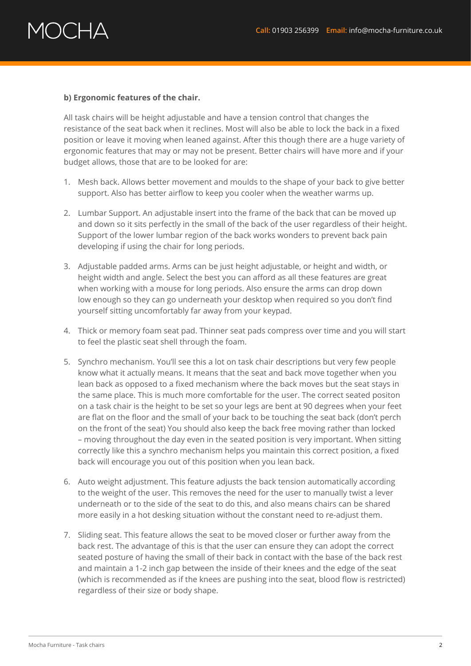## $\lambda$   $\rightarrow$   $\lambda$

### **b) Ergonomic features of the chair.**

All task chairs will be height adjustable and have a tension control that changes the resistance of the seat back when it reclines. Most will also be able to lock the back in a fixed position or leave it moving when leaned against. After this though there are a huge variety of ergonomic features that may or may not be present. Better chairs will have more and if your budget allows, those that are to be looked for are:

- 1. Mesh back. Allows better movement and moulds to the shape of your back to give better support. Also has better airflow to keep you cooler when the weather warms up.
- 2. Lumbar Support. An adjustable insert into the frame of the back that can be moved up and down so it sits perfectly in the small of the back of the user regardless of their height. Support of the lower lumbar region of the back works wonders to prevent back pain developing if using the chair for long periods.
- 3. Adjustable padded arms. Arms can be just height adjustable, or height and width, or height width and angle. Select the best you can afford as all these features are great when working with a mouse for long periods. Also ensure the arms can drop down low enough so they can go underneath your desktop when required so you don't find yourself sitting uncomfortably far away from your keypad.
- 4. Thick or memory foam seat pad. Thinner seat pads compress over time and you will start to feel the plastic seat shell through the foam.
- 5. Synchro mechanism. You'll see this a lot on task chair descriptions but very few people know what it actually means. It means that the seat and back move together when you lean back as opposed to a fixed mechanism where the back moves but the seat stays in the same place. This is much more comfortable for the user. The correct seated positon on a task chair is the height to be set so your legs are bent at 90 degrees when your feet are flat on the floor and the small of your back to be touching the seat back (don't perch on the front of the seat) You should also keep the back free moving rather than locked – moving throughout the day even in the seated position is very important. When sitting correctly like this a synchro mechanism helps you maintain this correct position, a fixed back will encourage you out of this position when you lean back.
- 6. Auto weight adjustment. This feature adjusts the back tension automatically according to the weight of the user. This removes the need for the user to manually twist a lever underneath or to the side of the seat to do this, and also means chairs can be shared more easily in a hot desking situation without the constant need to re-adjust them.
- 7. Sliding seat. This feature allows the seat to be moved closer or further away from the back rest. The advantage of this is that the user can ensure they can adopt the correct seated posture of having the small of their back in contact with the base of the back rest and maintain a 1-2 inch gap between the inside of their knees and the edge of the seat (which is recommended as if the knees are pushing into the seat, blood flow is restricted) regardless of their size or body shape.